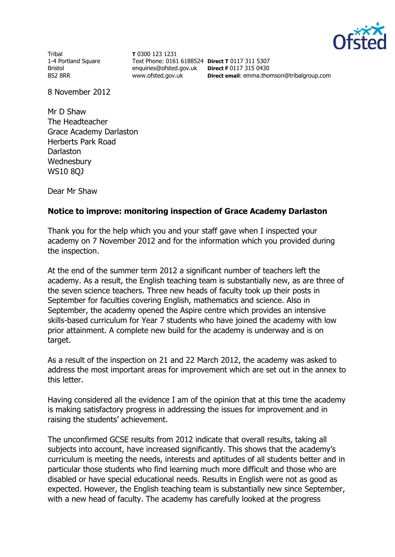

Tribal 1-4 Portland Square Bristol BS2 8RR

**T** 0300 123 1231 Text Phone: 0161 6188524 **Direct T** 0117 311 5307 enquiries@ofsted.gov.uk **Direct F** 0117 315 0430 www.ofsted.gov.uk

**Direct email**: emma.thomson@tribalgroup.com

8 November 2012

Mr D Shaw The Headteacher Grace Academy Darlaston Herberts Park Road **Darlaston Wednesbury** WS10 8QJ

Dear Mr Shaw

## **Notice to improve: monitoring inspection of Grace Academy Darlaston**

Thank you for the help which you and your staff gave when I inspected your academy on 7 November 2012 and for the information which you provided during the inspection.

At the end of the summer term 2012 a significant number of teachers left the academy. As a result, the English teaching team is substantially new, as are three of the seven science teachers. Three new heads of faculty took up their posts in September for faculties covering English, mathematics and science. Also in September, the academy opened the Aspire centre which provides an intensive skills-based curriculum for Year 7 students who have joined the academy with low prior attainment. A complete new build for the academy is underway and is on target.

As a result of the inspection on 21 and 22 March 2012, the academy was asked to address the most important areas for improvement which are set out in the annex to this letter.

Having considered all the evidence I am of the opinion that at this time the academy is making satisfactory progress in addressing the issues for improvement and in raising the students' achievement.

The unconfirmed GCSE results from 2012 indicate that overall results, taking all subjects into account, have increased significantly. This shows that the academy's curriculum is meeting the needs, interests and aptitudes of all students better and in particular those students who find learning much more difficult and those who are disabled or have special educational needs. Results in English were not as good as expected. However, the English teaching team is substantially new since September, with a new head of faculty. The academy has carefully looked at the progress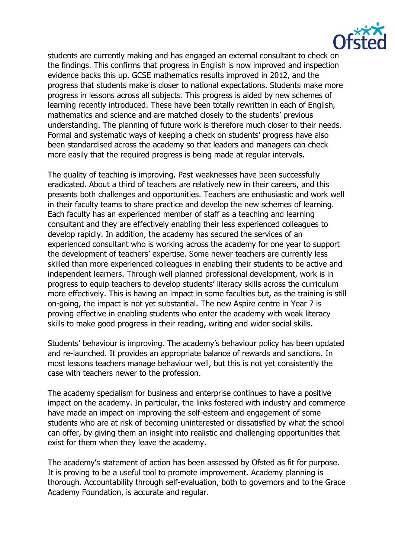

students are currently making and has engaged an external consultant to check on the findings. This confirms that progress in English is now improved and inspection evidence backs this up. GCSE mathematics results improved in 2012, and the progress that students make is closer to national expectations. Students make more progress in lessons across all subjects. This progress is aided by new schemes of learning recently introduced. These have been totally rewritten in each of English, mathematics and science and are matched closely to the students' previous understanding. The planning of future work is therefore much closer to their needs. Formal and systematic ways of keeping a check on students' progress have also been standardised across the academy so that leaders and managers can check more easily that the required progress is being made at regular intervals.

The quality of teaching is improving. Past weaknesses have been successfully eradicated. About a third of teachers are relatively new in their careers, and this presents both challenges and opportunities. Teachers are enthusiastic and work well in their faculty teams to share practice and develop the new schemes of learning. Each faculty has an experienced member of staff as a teaching and learning consultant and they are effectively enabling their less experienced colleagues to develop rapidly. In addition, the academy has secured the services of an experienced consultant who is working across the academy for one year to support the development of teachers' expertise. Some newer teachers are currently less skilled than more experienced colleagues in enabling their students to be active and independent learners. Through well planned professional development, work is in progress to equip teachers to develop students' literacy skills across the curriculum more effectively. This is having an impact in some faculties but, as the training is still on-going, the impact is not yet substantial. The new Aspire centre in Year 7 is proving effective in enabling students who enter the academy with weak literacy skills to make good progress in their reading, writing and wider social skills.

Students' behaviour is improving. The academy's behaviour policy has been updated and re-launched. It provides an appropriate balance of rewards and sanctions. In most lessons teachers manage behaviour well, but this is not yet consistently the case with teachers newer to the profession.

The academy specialism for business and enterprise continues to have a positive impact on the academy. In particular, the links fostered with industry and commerce have made an impact on improving the self-esteem and engagement of some students who are at risk of becoming uninterested or dissatisfied by what the school can offer, by giving them an insight into realistic and challenging opportunities that exist for them when they leave the academy.

The academy's statement of action has been assessed by Ofsted as fit for purpose. It is proving to be a useful tool to promote improvement. Academy planning is thorough. Accountability through self-evaluation, both to governors and to the Grace Academy Foundation, is accurate and regular.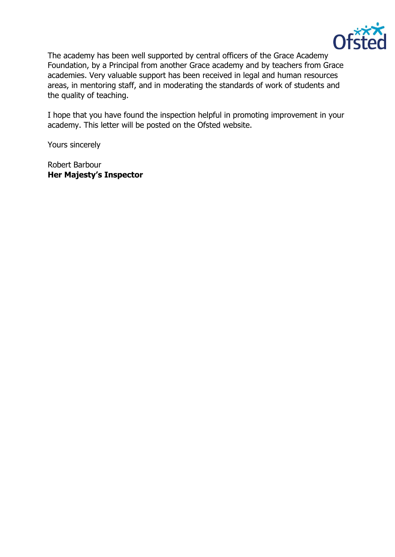

The academy has been well supported by central officers of the Grace Academy Foundation, by a Principal from another Grace academy and by teachers from Grace academies. Very valuable support has been received in legal and human resources areas, in mentoring staff, and in moderating the standards of work of students and the quality of teaching.

I hope that you have found the inspection helpful in promoting improvement in your academy. This letter will be posted on the Ofsted website.

Yours sincerely

Robert Barbour **Her Majesty's Inspector**